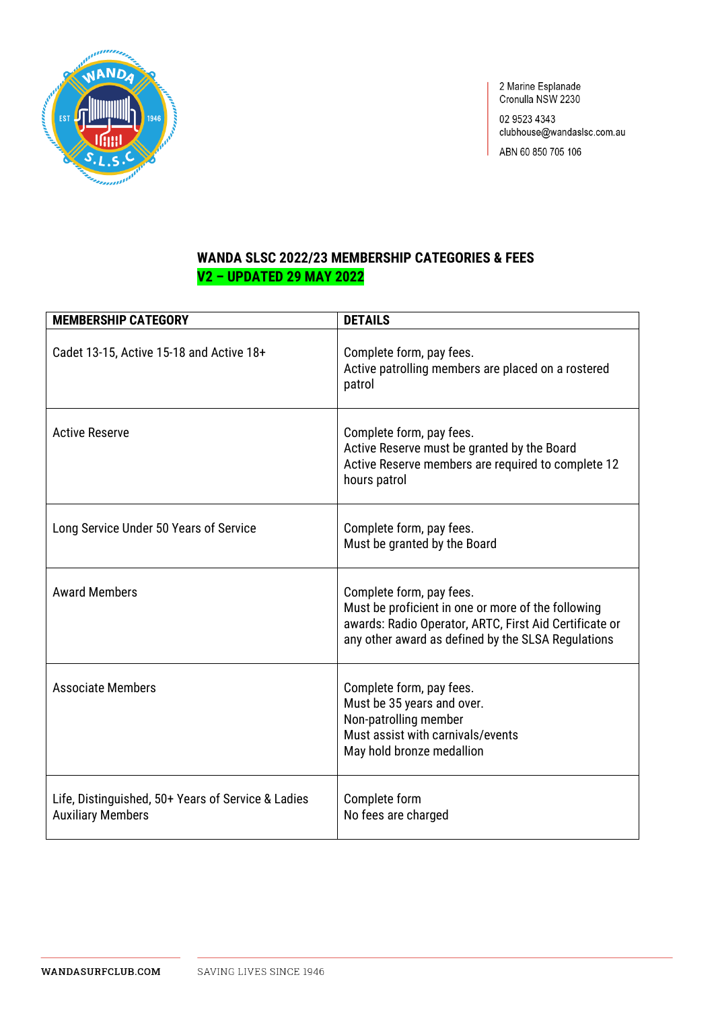

2 Marine Esplanade<br>Cronulla NSW 2230

02 9523 4343 clubhouse@wandaslsc.com.au

ABN 60 850 705 106

# **WANDA SLSC 2022/23 MEMBERSHIP CATEGORIES & FEES V2 - UPDATED 29 MAY 2022**

| <b>MEMBERSHIP CATEGORY</b>                                                     | <b>DETAILS</b>                                                                                                                                                                                 |
|--------------------------------------------------------------------------------|------------------------------------------------------------------------------------------------------------------------------------------------------------------------------------------------|
| Cadet 13-15, Active 15-18 and Active 18+                                       | Complete form, pay fees.<br>Active patrolling members are placed on a rostered<br>patrol                                                                                                       |
| <b>Active Reserve</b>                                                          | Complete form, pay fees.<br>Active Reserve must be granted by the Board<br>Active Reserve members are required to complete 12<br>hours patrol                                                  |
| Long Service Under 50 Years of Service                                         | Complete form, pay fees.<br>Must be granted by the Board                                                                                                                                       |
| <b>Award Members</b>                                                           | Complete form, pay fees.<br>Must be proficient in one or more of the following<br>awards: Radio Operator, ARTC, First Aid Certificate or<br>any other award as defined by the SLSA Regulations |
| <b>Associate Members</b>                                                       | Complete form, pay fees.<br>Must be 35 years and over.<br>Non-patrolling member<br>Must assist with carnivals/events<br>May hold bronze medallion                                              |
| Life, Distinguished, 50+ Years of Service & Ladies<br><b>Auxiliary Members</b> | Complete form<br>No fees are charged                                                                                                                                                           |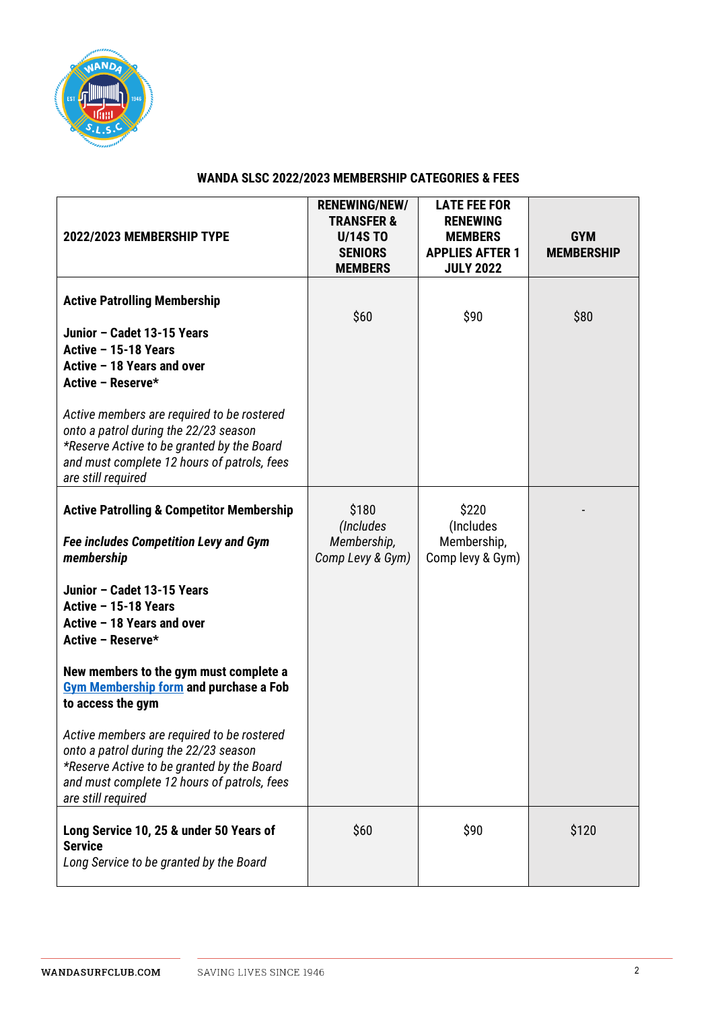

## **WANDA SLSC 2022/2023 MEMBERSHIP CATEGORIES & FEES**

| 2022/2023 MEMBERSHIP TYPE                                                                                                                                                                              | <b>RENEWING/NEW/</b><br><b>TRANSFER &amp;</b><br><b>U/14S TO</b><br><b>SENIORS</b><br><b>MEMBERS</b> | <b>LATE FEE FOR</b><br><b>RENEWING</b><br><b>MEMBERS</b><br><b>APPLIES AFTER 1</b><br><b>JULY 2022</b> | <b>GYM</b><br><b>MEMBERSHIP</b> |
|--------------------------------------------------------------------------------------------------------------------------------------------------------------------------------------------------------|------------------------------------------------------------------------------------------------------|--------------------------------------------------------------------------------------------------------|---------------------------------|
| <b>Active Patrolling Membership</b>                                                                                                                                                                    | \$60                                                                                                 | \$90                                                                                                   | \$80                            |
| Junior - Cadet 13-15 Years<br>Active - 15-18 Years<br>Active - 18 Years and over<br>Active - Reserve*                                                                                                  |                                                                                                      |                                                                                                        |                                 |
| Active members are required to be rostered<br>onto a patrol during the 22/23 season<br>*Reserve Active to be granted by the Board<br>and must complete 12 hours of patrols, fees<br>are still required |                                                                                                      |                                                                                                        |                                 |
| <b>Active Patrolling &amp; Competitor Membership</b>                                                                                                                                                   | \$180<br>(Includes)                                                                                  | \$220<br>(Includes                                                                                     |                                 |
| <b>Fee includes Competition Levy and Gym</b><br>membership                                                                                                                                             | Membership,<br>Comp Levy & Gym)                                                                      | Membership,<br>Comp levy & Gym)                                                                        |                                 |
| Junior - Cadet 13-15 Years<br>Active - 15-18 Years<br>Active - 18 Years and over<br>Active - Reserve*                                                                                                  |                                                                                                      |                                                                                                        |                                 |
| New members to the gym must complete a<br><b>Gym Membership form and purchase a Fob</b><br>to access the gym                                                                                           |                                                                                                      |                                                                                                        |                                 |
| Active members are required to be rostered<br>onto a patrol during the 22/23 season<br>*Reserve Active to be granted by the Board<br>and must complete 12 hours of patrols, fees<br>are still required |                                                                                                      |                                                                                                        |                                 |
| Long Service 10, 25 & under 50 Years of<br><b>Service</b><br>Long Service to be granted by the Board                                                                                                   | \$60                                                                                                 | \$90                                                                                                   | \$120                           |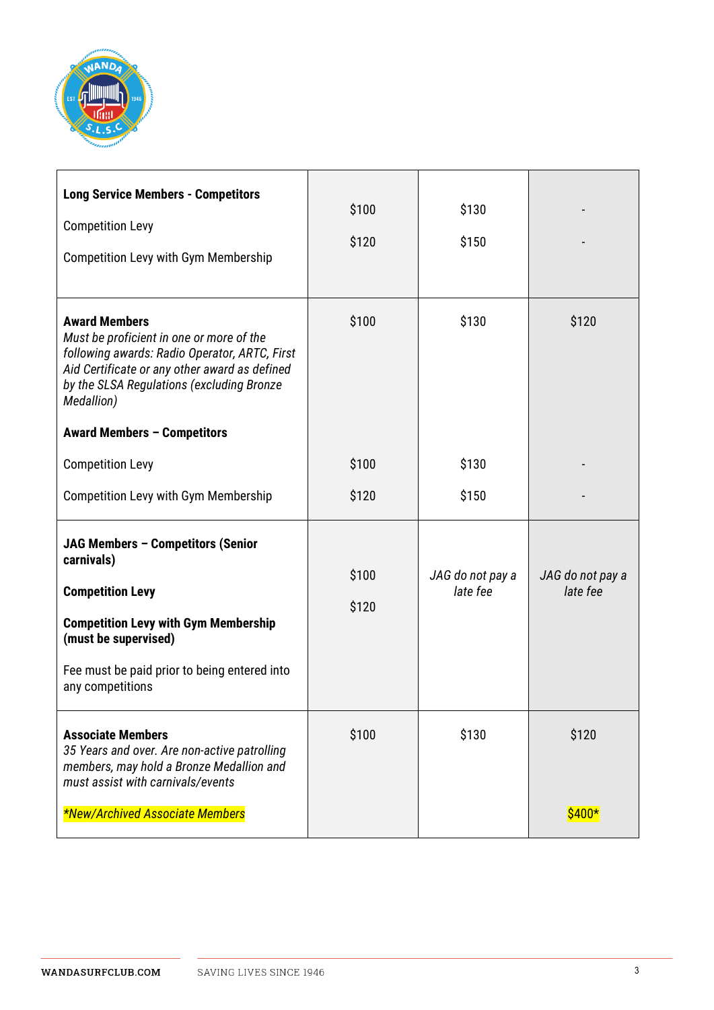

| <b>Long Service Members - Competitors</b><br><b>Competition Levy</b><br><b>Competition Levy with Gym Membership</b>                                                                                                           | \$100<br>\$120 | \$130<br>\$150               |                              |
|-------------------------------------------------------------------------------------------------------------------------------------------------------------------------------------------------------------------------------|----------------|------------------------------|------------------------------|
| <b>Award Members</b><br>Must be proficient in one or more of the<br>following awards: Radio Operator, ARTC, First<br>Aid Certificate or any other award as defined<br>by the SLSA Regulations (excluding Bronze<br>Medallion) | \$100          | \$130                        | \$120                        |
| <b>Award Members - Competitors</b>                                                                                                                                                                                            |                |                              |                              |
| <b>Competition Levy</b>                                                                                                                                                                                                       | \$100          | \$130                        |                              |
| <b>Competition Levy with Gym Membership</b>                                                                                                                                                                                   | \$120          | \$150                        |                              |
| JAG Members - Competitors (Senior<br>carnivals)<br><b>Competition Levy</b><br><b>Competition Levy with Gym Membership</b><br>(must be supervised)<br>Fee must be paid prior to being entered into<br>any competitions         | \$100<br>\$120 | JAG do not pay a<br>late fee | JAG do not pay a<br>late fee |
| <b>Associate Members</b><br>35 Years and over. Are non-active patrolling<br>members, may hold a Bronze Medallion and<br>must assist with carnivals/events<br>*New/Archived Associate Members                                  | \$100          | \$130                        | \$120<br>$$400*$             |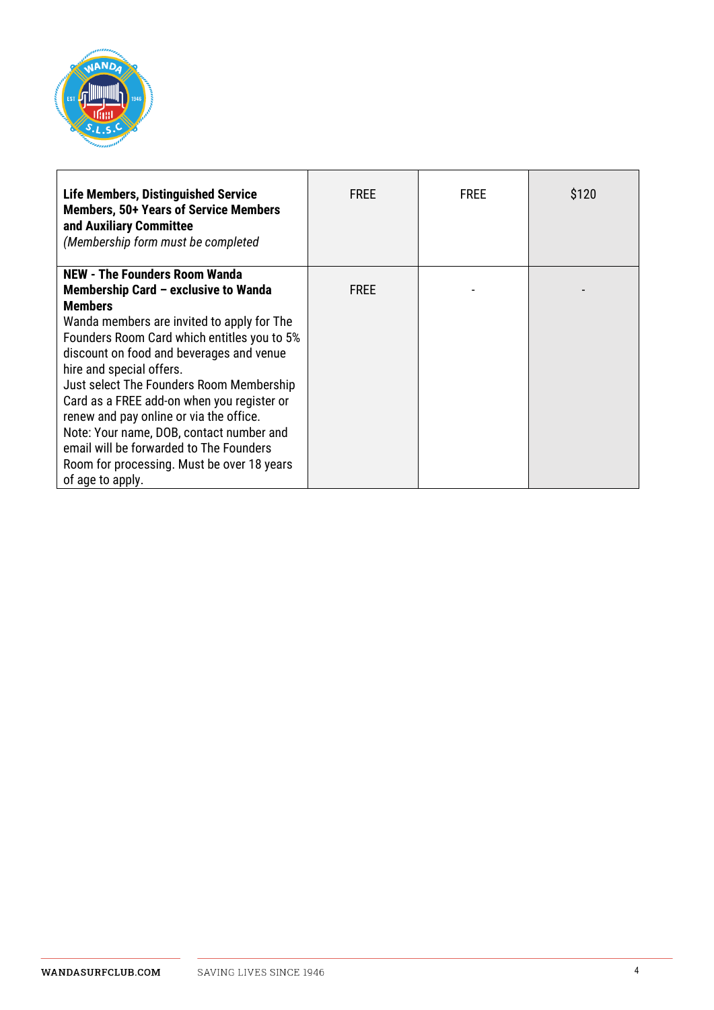

| <b>Life Members, Distinguished Service</b><br><b>Members, 50+ Years of Service Members</b><br>and Auxiliary Committee<br>(Membership form must be completed | <b>FREE</b> | <b>FREE</b> | \$120 |
|-------------------------------------------------------------------------------------------------------------------------------------------------------------|-------------|-------------|-------|
| <b>NEW - The Founders Room Wanda</b>                                                                                                                        |             |             |       |
| Membership Card - exclusive to Wanda                                                                                                                        | <b>FREE</b> |             |       |
| <b>Members</b>                                                                                                                                              |             |             |       |
| Wanda members are invited to apply for The                                                                                                                  |             |             |       |
| Founders Room Card which entitles you to 5%                                                                                                                 |             |             |       |
| discount on food and beverages and venue                                                                                                                    |             |             |       |
| hire and special offers.                                                                                                                                    |             |             |       |
| Just select The Founders Room Membership                                                                                                                    |             |             |       |
| Card as a FREE add-on when you register or                                                                                                                  |             |             |       |
| renew and pay online or via the office.                                                                                                                     |             |             |       |
| Note: Your name, DOB, contact number and                                                                                                                    |             |             |       |
| email will be forwarded to The Founders                                                                                                                     |             |             |       |
| Room for processing. Must be over 18 years                                                                                                                  |             |             |       |
| of age to apply.                                                                                                                                            |             |             |       |